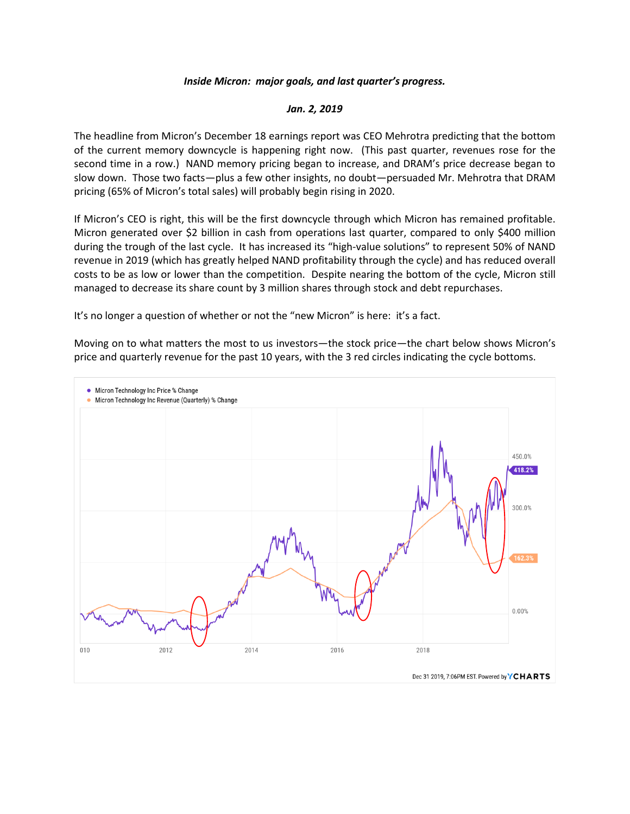## *Inside Micron: major goals, and last quarter's progress.*

## *Jan. 2, 2019*

The headline from Micron's December 18 earnings report was CEO Mehrotra predicting that the bottom of the current memory downcycle is happening right now. (This past quarter, revenues rose for the second time in a row.) NAND memory pricing began to increase, and DRAM's price decrease began to slow down. Those two facts—plus a few other insights, no doubt—persuaded Mr. Mehrotra that DRAM pricing (65% of Micron's total sales) will probably begin rising in 2020.

If Micron's CEO is right, this will be the first downcycle through which Micron has remained profitable. Micron generated over \$2 billion in cash from operations last quarter, compared to only \$400 million during the trough of the last cycle. It has increased its "high-value solutions" to represent 50% of NAND revenue in 2019 (which has greatly helped NAND profitability through the cycle) and has reduced overall costs to be as low or lower than the competition. Despite nearing the bottom of the cycle, Micron still managed to decrease its share count by 3 million shares through stock and debt repurchases.

It's no longer a question of whether or not the "new Micron" is here: it's a fact.

Moving on to what matters the most to us investors—the stock price—the chart below shows Micron's price and quarterly revenue for the past 10 years, with the 3 red circles indicating the cycle bottoms.